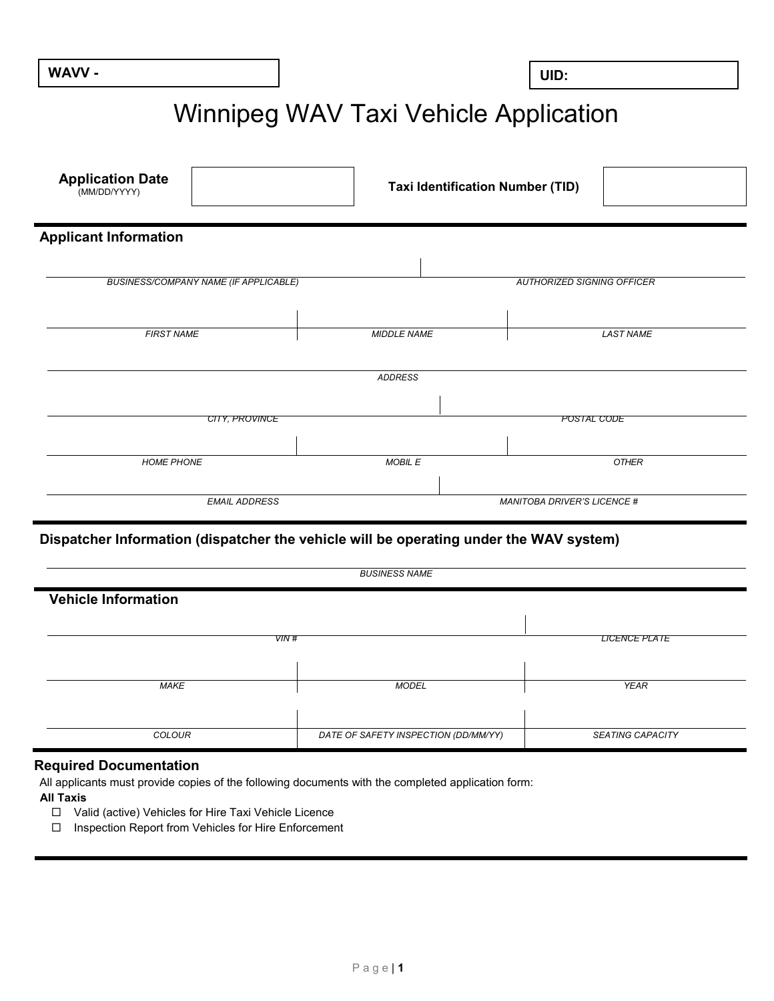**WAVV - UID:**

# Winnipeg WAV Taxi Vehicle Application

| <b>Application Date</b><br>(MM/DD/YYYY)                                                |                      | <b>Taxi Identification Number (TID)</b> |
|----------------------------------------------------------------------------------------|----------------------|-----------------------------------------|
| <b>Applicant Information</b>                                                           |                      |                                         |
|                                                                                        |                      |                                         |
| <b>BUSINESS/COMPANY NAME (IF APPLICABLE)</b>                                           |                      | <b>AUTHORIZED SIGNING OFFICER</b>       |
| <b>FIRST NAME</b>                                                                      | <b>MIDDLE NAME</b>   | <b>LAST NAME</b>                        |
|                                                                                        | <b>ADDRESS</b>       |                                         |
|                                                                                        |                      |                                         |
| CITY, PROVINCE                                                                         |                      | POSTAL CODE                             |
| <b>HOME PHONE</b>                                                                      | MOBIL E              | <b>OTHER</b>                            |
| <b>EMAIL ADDRESS</b>                                                                   |                      | <b>MANITOBA DRIVER'S LICENCE #</b>      |
| Dispatcher Information (dispatcher the vehicle will be operating under the WAV system) |                      |                                         |
|                                                                                        | <b>BUSINESS NAME</b> |                                         |

| <b>Vehicle Information</b> |                                      |                         |  |  |  |
|----------------------------|--------------------------------------|-------------------------|--|--|--|
| VIN #                      |                                      | <b>LICENCE PLATE</b>    |  |  |  |
| <b>MAKE</b>                | <b>MODEL</b>                         | <b>YEAR</b>             |  |  |  |
|                            |                                      |                         |  |  |  |
| <b>COLOUR</b>              | DATE OF SAFETY INSPECTION (DD/MM/YY) | <b>SEATING CAPACITY</b> |  |  |  |

## **Required Documentation**

All applicants must provide copies of the following documents with the completed application form:

## **All Taxis**

- Valid (active) Vehicles for Hire Taxi Vehicle Licence
- Inspection Report from Vehicles for Hire Enforcement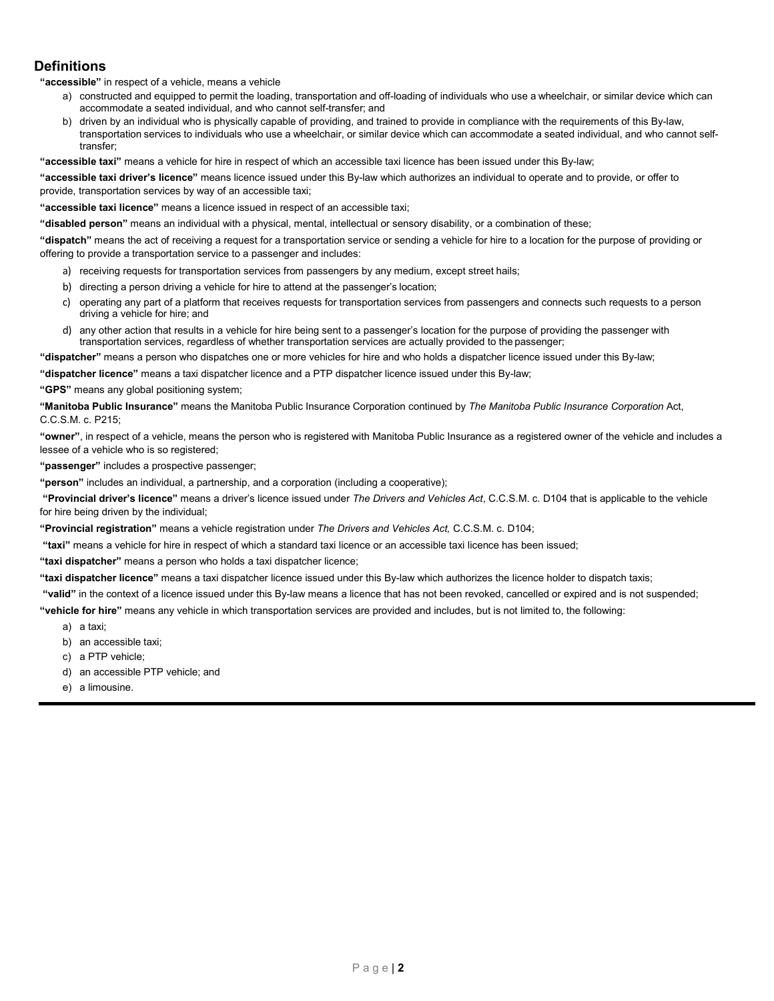## **Definitions**

**"accessible"** in respect of a vehicle, means a vehicle

- a) constructed and equipped to permit the loading, transportation and off-loading of individuals who use a wheelchair, or similar device which can accommodate a seated individual, and who cannot self-transfer; and
- b) driven by an individual who is physically capable of providing, and trained to provide in compliance with the requirements of this By-law, transportation services to individuals who use a wheelchair, or similar device which can accommodate a seated individual, and who cannot selftransfer;
- **"accessible taxi"** means a vehicle for hire in respect of which an accessible taxi licence has been issued under this By-law;

**"accessible taxi driver's licence"** means licence issued under this By-law which authorizes an individual to operate and to provide, or offer to provide, transportation services by way of an accessible taxi;

**"accessible taxi licence"** means a licence issued in respect of an accessible taxi;

**"disabled person"** means an individual with a physical, mental, intellectual or sensory disability, or a combination of these;

**"dispatch"** means the act of receiving a request for a transportation service or sending a vehicle for hire to a location for the purpose of providing or offering to provide a transportation service to a passenger and includes:

- a) receiving requests for transportation services from passengers by any medium, except street hails;
- b) directing a person driving a vehicle for hire to attend at the passenger's location;
- c) operating any part of a platform that receives requests for transportation services from passengers and connects such requests to a person driving a vehicle for hire; and
- d) any other action that results in a vehicle for hire being sent to a passenger's location for the purpose of providing the passenger with transportation services, regardless of whether transportation services are actually provided to the passenger;

**"dispatcher"** means a person who dispatches one or more vehicles for hire and who holds a dispatcher licence issued under this By-law;

**"dispatcher licence"** means a taxi dispatcher licence and a PTP dispatcher licence issued under this By-law;

**"GPS"** means any global positioning system;

**"Manitoba Public Insurance"** means the Manitoba Public Insurance Corporation continued by *The Manitoba Public Insurance Corporation* Act, C.C.S.M. c. P215;

**"owner"**, in respect of a vehicle, means the person who is registered with Manitoba Public Insurance as a registered owner of the vehicle and includes a lessee of a vehicle who is so registered;

**"passenger"** includes a prospective passenger;

**"person"** includes an individual, a partnership, and a corporation (including a cooperative);

**"Provincial driver's licence"** means a driver's licence issued under *The Drivers and Vehicles Act*, C.C.S.M. c. D104 that is applicable to the vehicle for hire being driven by the individual;

**"Provincial registration"** means a vehicle registration under *The Drivers and Vehicles Act,* C.C.S.M. c. D104;

**"taxi"** means a vehicle for hire in respect of which a standard taxi licence or an accessible taxi licence has been issued;

**"taxi dispatcher"** means a person who holds a taxi dispatcher licence;

**"taxi dispatcher licence"** means a taxi dispatcher licence issued under this By-law which authorizes the licence holder to dispatch taxis;

**"valid"** in the context of a licence issued under this By-law means a licence that has not been revoked, cancelled or expired and is not suspended;

**"vehicle for hire"** means any vehicle in which transportation services are provided and includes, but is not limited to, the following:

- a) a taxi;
- b) an accessible taxi;
- c) a PTP vehicle;
- d) an accessible PTP vehicle; and
- e) a limousine.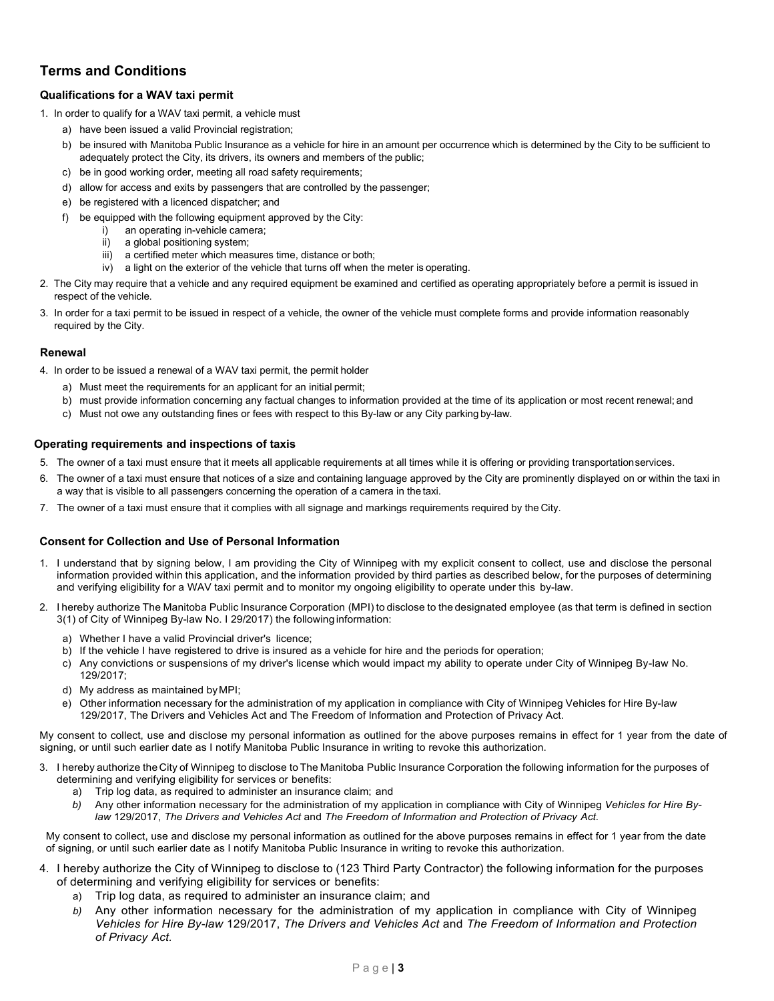# **Terms and Conditions**

## **Qualifications for a WAV taxi permit**

- 1. In order to qualify for a WAV taxi permit, a vehicle must
	- a) have been issued a valid Provincial registration;
	- b) be insured with Manitoba Public Insurance as a vehicle for hire in an amount per occurrence which is determined by the City to be sufficient to adequately protect the City, its drivers, its owners and members of the public;
	- c) be in good working order, meeting all road safety requirements;
	- d) allow for access and exits by passengers that are controlled by the passenger;
	- e) be registered with a licenced dispatcher; and
	- f) be equipped with the following equipment approved by the City:
		- i) an operating in-vehicle camera;
		- ii) a global positioning system;
		- iii) a certified meter which measures time, distance or both;
		- iv) a light on the exterior of the vehicle that turns off when the meter is operating.
- 2. The City may require that a vehicle and any required equipment be examined and certified as operating appropriately before a permit is issued in respect of the vehicle.
- 3. In order for a taxi permit to be issued in respect of a vehicle, the owner of the vehicle must complete forms and provide information reasonably required by the City.

#### **Renewal**

- 4. In order to be issued a renewal of a WAV taxi permit, the permit holder
	- a) Must meet the requirements for an applicant for an initial permit;
	- b) must provide information concerning any factual changes to information provided at the time of its application or most recent renewal; and
	- c) Must not owe any outstanding fines or fees with respect to this By-law or any City parking by-law.

#### **Operating requirements and inspections of taxis**

- 5. The owner of a taxi must ensure that it meets all applicable requirements at all times while it is offering or providing transportationservices.
- 6. The owner of a taxi must ensure that notices of a size and containing language approved by the City are prominently displayed on or within the taxi in a way that is visible to all passengers concerning the operation of a camera in the taxi.
- 7. The owner of a taxi must ensure that it complies with all signage and markings requirements required by the City.

#### **Consent for Collection and Use of Personal Information**

- 1. I understand that by signing below, I am providing the City of Winnipeg with my explicit consent to collect, use and disclose the personal information provided within this application, and the information provided by third parties as described below, for the purposes of determining and verifying eligibility for a WAV taxi permit and to monitor my ongoing eligibility to operate under this by-law.
- 2. I hereby authorize The Manitoba Public Insurance Corporation (MPI) to disclose to the designated employee (as that term is defined in section 3(1) of City of Winnipeg By-law No. I 29/2017) the following information:
	- a) Whether I have a valid Provincial driver's licence;
	- b) If the vehicle I have registered to drive is insured as a vehicle for hire and the periods for operation;
	- c) Any convictions or suspensions of my driver's license which would impact my ability to operate under City of Winnipeg By-law No. 129/2017;
	- d) My address as maintained byMPI;
	- e) Other information necessary for the administration of my application in compliance with City of Winnipeg Vehicles for Hire By-law 129/2017, The Drivers and Vehicles Act and The Freedom of Information and Protection of Privacy Act.

My consent to collect, use and disclose my personal information as outlined for the above purposes remains in effect for 1 year from the date of signing, or until such earlier date as I notify Manitoba Public Insurance in writing to revoke this authorization.

- 3. I hereby authorize the City of Winnipeg to disclose toThe Manitoba Public Insurance Corporation the following information for the purposes of determining and verifying eligibility for services or benefits:
	- a) Trip log data, as required to administer an insurance claim; and
	- *b)* Any other information necessary for the administration of my application in compliance with City of Winnipeg *Vehicles for Hire Bylaw* 129/2017, *The Drivers and Vehicles Act* and *The Freedom of Information and Protection of Privacy Act.*

My consent to collect, use and disclose my personal information as outlined for the above purposes remains in effect for 1 year from the date of signing, or until such earlier date as I notify Manitoba Public Insurance in writing to revoke this authorization.

- 4. I hereby authorize the City of Winnipeg to disclose to (123 Third Party Contractor) the following information for the purposes of determining and verifying eligibility for services or benefits:
	- a) Trip log data, as required to administer an insurance claim; and
	- *b)* Any other information necessary for the administration of my application in compliance with City of Winnipeg *Vehicles for Hire By-law* 129/2017, *The Drivers and Vehicles Act* and *The Freedom of Information and Protection of Privacy Act.*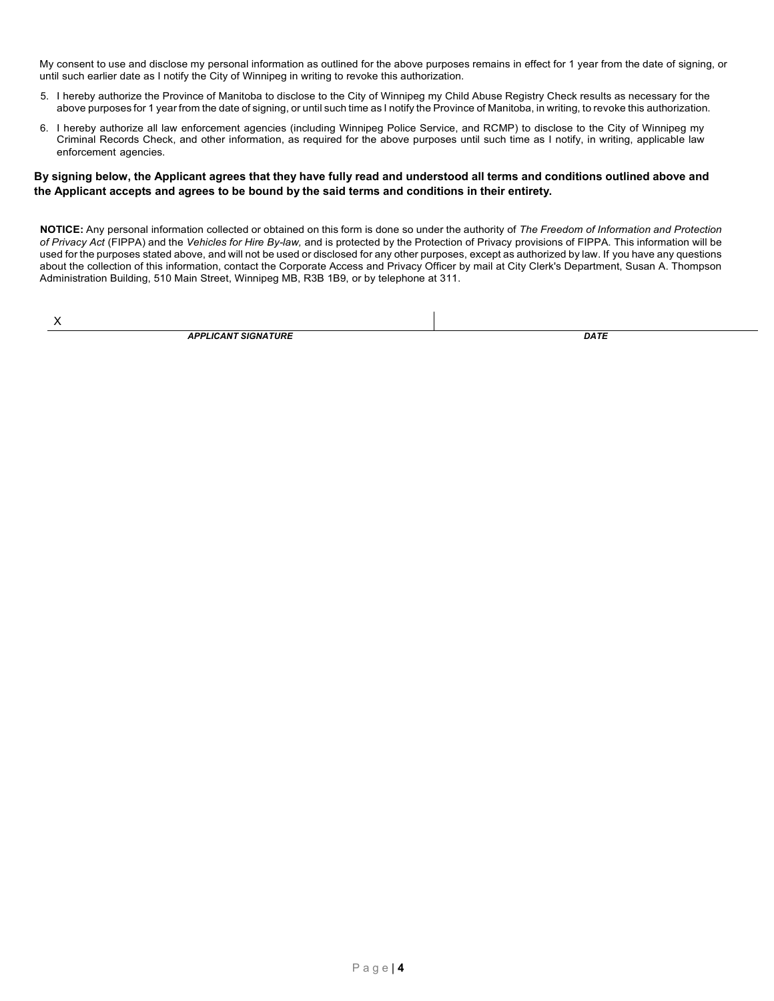My consent to use and disclose my personal information as outlined for the above purposes remains in effect for 1 year from the date of signing, or until such earlier date as I notify the City of Winnipeg in writing to revoke this authorization.

- 5. I hereby authorize the Province of Manitoba to disclose to the City of Winnipeg my Child Abuse Registry Check results as necessary for the above purposes for 1 year from the date of signing, or until such time as I notify the Province of Manitoba, in writing, to revoke this authorization.
- 6. I hereby authorize all law enforcement agencies (including Winnipeg Police Service, and RCMP) to disclose to the City of Winnipeg my Criminal Records Check, and other information, as required for the above purposes until such time as I notify, in writing, applicable law enforcement agencies.

### **By signing below, the Applicant agrees that they have fully read and understood all terms and conditions outlined above and the Applicant accepts and agrees to be bound by the said terms and conditions in their entirety.**

**NOTICE:** Any personal information collected or obtained on this form is done so under the authority of *The Freedom of Information and Protection of Privacy Act* (FIPPA) and the *Vehicles for Hire By-law,* and is protected by the Protection of Privacy provisions of FIPPA. This information will be used for the purposes stated above, and will not be used or disclosed for any other purposes, except as authorized by law. If you have any questions about the collection of this information, contact the Corporate Access and Privacy Officer by mail at City Clerk's Department, Susan A. Thompson Administration Building, 510 Main Street, Winnipeg MB, R3B 1B9, or by telephone at 311.

X

*APPLICANT SIGNATURE DATE*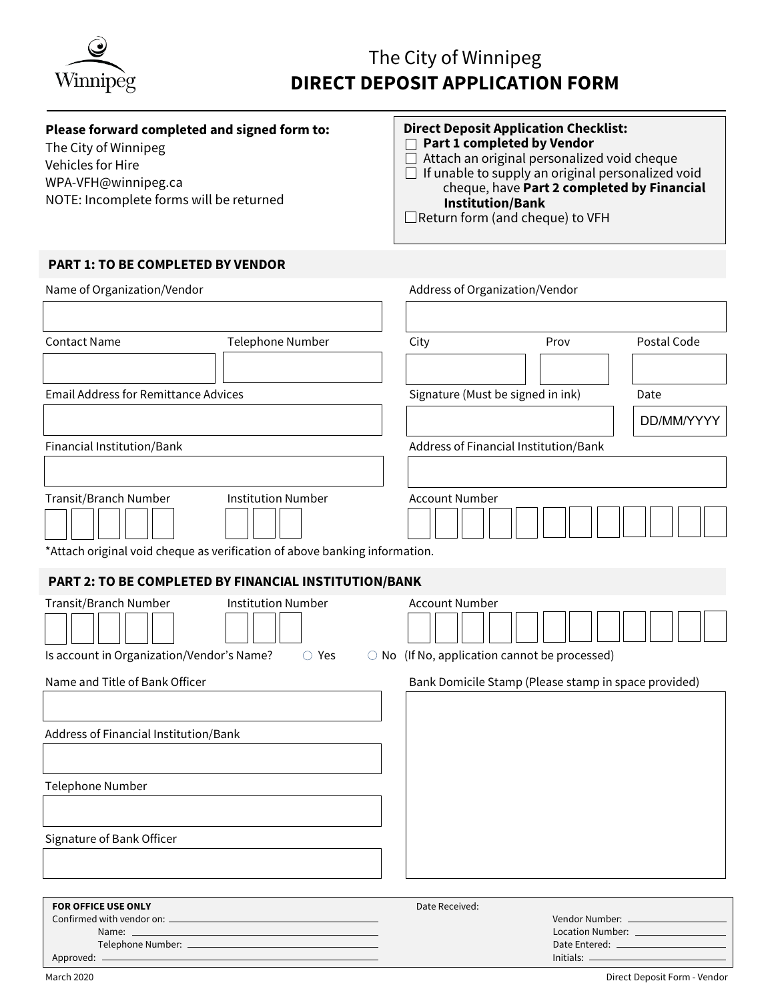

## **Please forward completed and signed form to:**

The City of Winnipeg Vehicles for Hire WPA-VFH@winnipeg.ca NOTE: Incomplete forms will be returned

## **Direct Deposit Application Checklist: Part 1 completed by Vendor** Attach an original personalized void cheque

If unable to supply an original personalized void cheque, have **Part 2 completed by Financial Institution/Bank** Return form (and cheque) to VFH

**PART 1: TO BE COMPLETED BY VENDOR**

| Name of Organization/Vendor                                                                         |                           |                       | Address of Organization/Vendor                       |                                   |
|-----------------------------------------------------------------------------------------------------|---------------------------|-----------------------|------------------------------------------------------|-----------------------------------|
|                                                                                                     |                           |                       |                                                      |                                   |
| <b>Contact Name</b>                                                                                 | <b>Telephone Number</b>   | City                  | Prov                                                 | Postal Code                       |
|                                                                                                     |                           |                       |                                                      |                                   |
| <b>Email Address for Remittance Advices</b>                                                         |                           |                       | Signature (Must be signed in ink)                    | Date                              |
|                                                                                                     |                           |                       |                                                      | DD/MM/YYYY                        |
| Financial Institution/Bank                                                                          |                           |                       | Address of Financial Institution/Bank                |                                   |
|                                                                                                     |                           |                       |                                                      |                                   |
| Transit/Branch Number<br>*Attach original void cheque as verification of above banking information. | <b>Institution Number</b> | <b>Account Number</b> |                                                      |                                   |
| PART 2: TO BE COMPLETED BY FINANCIAL INSTITUTION/BANK                                               |                           |                       |                                                      |                                   |
| Transit/Branch Number                                                                               | <b>Institution Number</b> | <b>Account Number</b> |                                                      |                                   |
| Is account in Organization/Vendor's Name?                                                           | ○ Yes<br>$\bigcirc$ No    |                       | (If No, application cannot be processed)             |                                   |
| Name and Title of Bank Officer                                                                      |                           |                       | Bank Domicile Stamp (Please stamp in space provided) |                                   |
|                                                                                                     |                           |                       |                                                      |                                   |
| Address of Financial Institution/Bank                                                               |                           |                       |                                                      |                                   |
|                                                                                                     |                           |                       |                                                      |                                   |
| <b>Telephone Number</b>                                                                             |                           |                       |                                                      |                                   |
|                                                                                                     |                           |                       |                                                      |                                   |
| Signature of Bank Officer                                                                           |                           |                       |                                                      |                                   |
|                                                                                                     |                           |                       |                                                      |                                   |
|                                                                                                     |                           |                       |                                                      |                                   |
| <b>FOR OFFICE USE ONLY</b>                                                                          |                           | Date Received:        |                                                      |                                   |
| Name: $\frac{1}{2}$                                                                                 |                           |                       |                                                      | Location Number: ________________ |
|                                                                                                     |                           |                       | Date Entered: __________________                     |                                   |

| Telephone Number: _ | Date Entered:                |
|---------------------|------------------------------|
| Approved: —         | Initials:                    |
| March 2020          | Direct Deposit Form - Vendor |